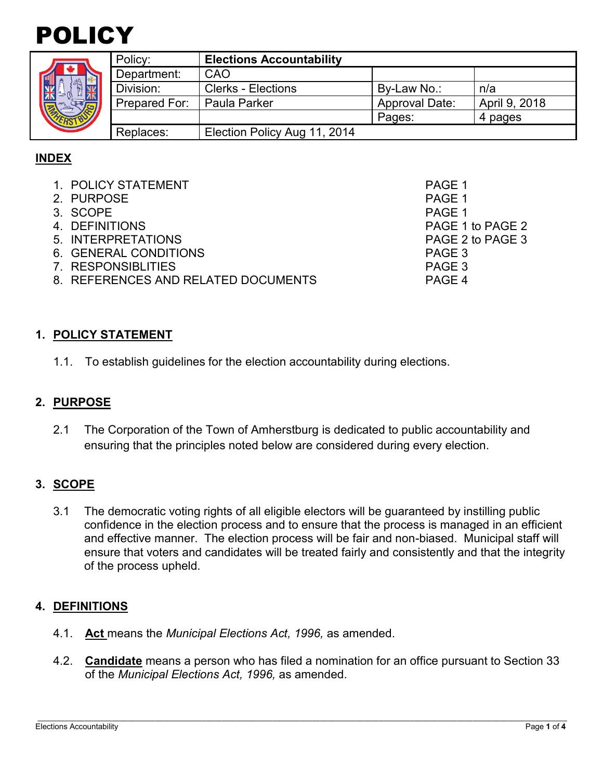



|  | Policy:       | <b>Elections Accountability</b> |                       |               |
|--|---------------|---------------------------------|-----------------------|---------------|
|  | Department:   | CAO                             |                       |               |
|  | Division:     | <b>Clerks - Elections</b>       | By-Law No.:           | n/a           |
|  | Prepared For: | <b>Paula Parker</b>             | <b>Approval Date:</b> | April 9, 2018 |
|  |               |                                 | Pages:                | 4 pages       |
|  | Replaces:     | Election Policy Aug 11, 2014    |                       |               |

## **INDEX**

| 1. POLICY STATEMENT                 | PAGE 1           |
|-------------------------------------|------------------|
| 2. PURPOSE                          | PAGE 1           |
| 3. SCOPE                            | PAGE 1           |
| 4. DEFINITIONS                      | PAGE 1 to PAGE 2 |
| 5. INTERPRETATIONS                  | PAGE 2 to PAGE 3 |
| 6. GENERAL CONDITIONS               | PAGE 3           |
| 7. RESPONSIBLITIES                  | PAGE 3           |
| 8. REFERENCES AND RELATED DOCUMENTS | PAGE 4           |
|                                     |                  |

#### **1. POLICY STATEMENT**

1.1. To establish guidelines for the election accountability during elections.

#### **2. PURPOSE**

2.1 The Corporation of the Town of Amherstburg is dedicated to public accountability and ensuring that the principles noted below are considered during every election.

### **3. SCOPE**

3.1 The democratic voting rights of all eligible electors will be guaranteed by instilling public confidence in the election process and to ensure that the process is managed in an efficient and effective manner. The election process will be fair and non-biased. Municipal staff will ensure that voters and candidates will be treated fairly and consistently and that the integrity of the process upheld.

### **4. DEFINITIONS**

- 4.1. **Act** means the *Municipal Elections Act, 1996,* as amended.
- 4.2. **Candidate** means a person who has filed a nomination for an office pursuant to Section 33 of the *Municipal Elections Act, 1996,* as amended.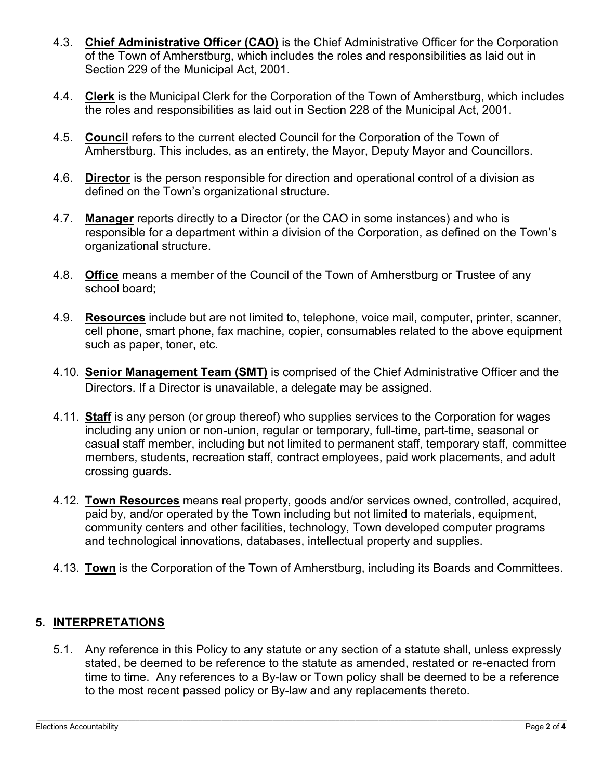- 4.3. **Chief Administrative Officer (CAO)** is the Chief Administrative Officer for the Corporation of the Town of Amherstburg, which includes the roles and responsibilities as laid out in Section 229 of the Municipal Act, 2001.
- 4.4. **Clerk** is the Municipal Clerk for the Corporation of the Town of Amherstburg, which includes the roles and responsibilities as laid out in Section 228 of the Municipal Act, 2001.
- 4.5. **Council** refers to the current elected Council for the Corporation of the Town of Amherstburg. This includes, as an entirety, the Mayor, Deputy Mayor and Councillors.
- 4.6. **Director** is the person responsible for direction and operational control of a division as defined on the Town's organizational structure.
- 4.7. **Manager** reports directly to a Director (or the CAO in some instances) and who is responsible for a department within a division of the Corporation, as defined on the Town's organizational structure.
- 4.8. **Office** means a member of the Council of the Town of Amherstburg or Trustee of any school board;
- 4.9. **Resources** include but are not limited to, telephone, voice mail, computer, printer, scanner, cell phone, smart phone, fax machine, copier, consumables related to the above equipment such as paper, toner, etc.
- 4.10. **Senior Management Team (SMT)** is comprised of the Chief Administrative Officer and the Directors. If a Director is unavailable, a delegate may be assigned.
- 4.11. **Staff** is any person (or group thereof) who supplies services to the Corporation for wages including any union or non-union, regular or temporary, full-time, part-time, seasonal or casual staff member, including but not limited to permanent staff, temporary staff, committee members, students, recreation staff, contract employees, paid work placements, and adult crossing guards.
- 4.12. **Town Resources** means real property, goods and/or services owned, controlled, acquired, paid by, and/or operated by the Town including but not limited to materials, equipment, community centers and other facilities, technology, Town developed computer programs and technological innovations, databases, intellectual property and supplies.
- 4.13. **Town** is the Corporation of the Town of Amherstburg, including its Boards and Committees.

## **5. INTERPRETATIONS**

5.1. Any reference in this Policy to any statute or any section of a statute shall, unless expressly stated, be deemed to be reference to the statute as amended, restated or re-enacted from time to time. Any references to a By-law or Town policy shall be deemed to be a reference to the most recent passed policy or By-law and any replacements thereto.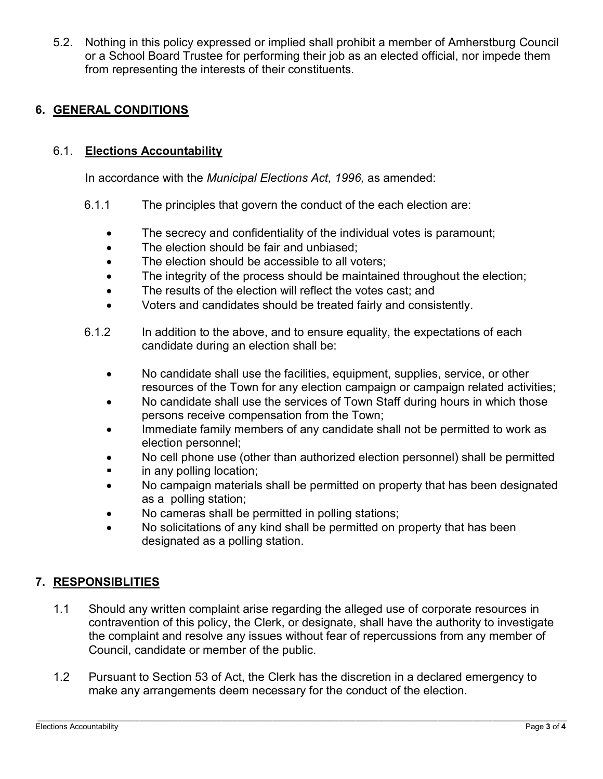5.2. Nothing in this policy expressed or implied shall prohibit a member of Amherstburg Council or a School Board Trustee for performing their job as an elected official, nor impede them from representing the interests of their constituents.

## **6. GENERAL CONDITIONS**

### 6.1. **Elections Accountability**

In accordance with the *Municipal Elections Act, 1996,* as amended:

- 6.1.1 The principles that govern the conduct of the each election are:
	- The secrecy and confidentiality of the individual votes is paramount;
	- The election should be fair and unbiased;
	- The election should be accessible to all voters:
	- The integrity of the process should be maintained throughout the election;
	- The results of the election will reflect the votes cast: and
	- Voters and candidates should be treated fairly and consistently.
- 6.1.2 In addition to the above, and to ensure equality, the expectations of each candidate during an election shall be:
	- No candidate shall use the facilities, equipment, supplies, service, or other resources of the Town for any election campaign or campaign related activities;
	- No candidate shall use the services of Town Staff during hours in which those persons receive compensation from the Town;
	- Immediate family members of any candidate shall not be permitted to work as election personnel;
	- No cell phone use (other than authorized election personnel) shall be permitted
	- **i** in any polling location;
	- No campaign materials shall be permitted on property that has been designated as a polling station;
	- No cameras shall be permitted in polling stations;
	- No solicitations of any kind shall be permitted on property that has been designated as a polling station.

#### **7. RESPONSIBLITIES**

- 1.1 Should any written complaint arise regarding the alleged use of corporate resources in contravention of this policy, the Clerk, or designate, shall have the authority to investigate the complaint and resolve any issues without fear of repercussions from any member of Council, candidate or member of the public.
- 1.2 Pursuant to Section 53 of Act, the Clerk has the discretion in a declared emergency to make any arrangements deem necessary for the conduct of the election.